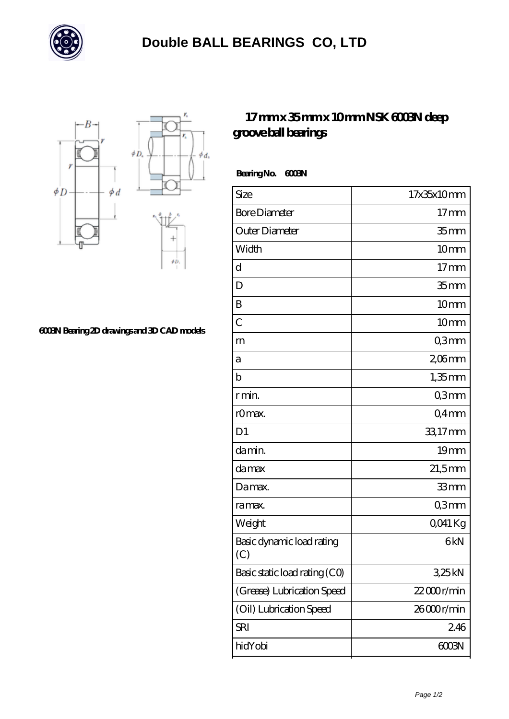



## **[6003N Bearing 2D drawings and 3D CAD models](https://officialarizucker.com/pic-105805.html)**

## **[17 mm x 35 mm x 10 mm NSK 6003N deep](https://officialarizucker.com/bs-105805-nsk-6003n-deep-groove-ball-bearings.html) [groove ball bearings](https://officialarizucker.com/bs-105805-nsk-6003n-deep-groove-ball-bearings.html)**

 **Bearing No. 6003N**

 $\phi_d$ 

| Size                             | 17x35x10mm         |
|----------------------------------|--------------------|
| <b>Bore Diameter</b>             | $17 \,\mathrm{mm}$ |
| Outer Diameter                   | 35 <sub>mm</sub>   |
| Width                            | 10mm               |
| d                                | $17 \text{mm}$     |
| D                                | 35 <sub>mm</sub>   |
| B                                | 10mm               |
| $\overline{C}$                   | 10mm               |
| m                                | Q3mm               |
| а                                | $206$ mm           |
| $\mathbf b$                      | $1,35$ mm          |
| r min.                           | Q3mm               |
| r0max.                           | Q4mm               |
| D <sub>1</sub>                   | 33,17mm            |
| damin.                           | 19mm               |
| da max                           | $21,5$ mm          |
| Damax.                           | 33mm               |
| ra max.                          | Q3mm               |
| Weight                           | QO41 Kg            |
| Basic dynamic load rating<br>(C) | 6kN                |
| Basic static load rating (CO)    | 325kN              |
| (Grease) Lubrication Speed       | $22000$ r/min      |
| (Oil) Lubrication Speed          | 26000r/min         |
| SRI                              | 246                |
| hidYobi                          | 6003N              |